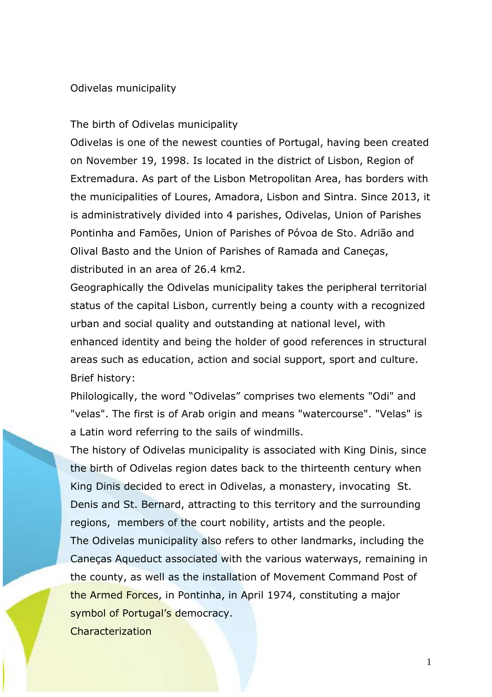## Odivelas municipality

## The birth of Odivelas municipality

Odivelas is one of the newest counties of Portugal, having been created on November 19, 1998. Is located in the district of Lisbon, Region of Extremadura. As part of the Lisbon Metropolitan Area, has borders with the municipalities of Loures, Amadora, Lisbon and Sintra. Since 2013, it is administratively divided into 4 parishes, Odivelas, Union of Parishes Pontinha and Famões, Union of Parishes of Póvoa de Sto. Adrião and Olival Basto and the Union of Parishes of Ramada and Caneças, distributed in an area of 26.4 km2.

Geographically the Odivelas municipality takes the peripheral territorial status of the capital Lisbon, currently being a county with a recognized urban and social quality and outstanding at national level, with enhanced identity and being the holder of good references in structural areas such as education, action and social support, sport and culture. Brief history:

Philologically, the word "Odivelas" comprises two elements "Odi" and "velas". The first is of Arab origin and means "watercourse". "Velas" is a Latin word referring to the sails of windmills.

The history of Odivelas municipality is associated with King Dinis, since the birth of Odivelas region dates back to the thirteenth century when King Dinis decided to erect in Odivelas, a monastery, invocating St. Denis and St. Bernard, attracting to this territory and the surrounding regions, members of the court nobility, artists and the people. The Odivelas municipality also refers to other landmarks, including the

Caneças Aqueduct associated with the various waterways, remaining in the county, as well as the installation of Movement Command Post of the Armed Forces, in Pontinha, in April 1974, constituting a major symbol of Portugal's democracy.

Characterization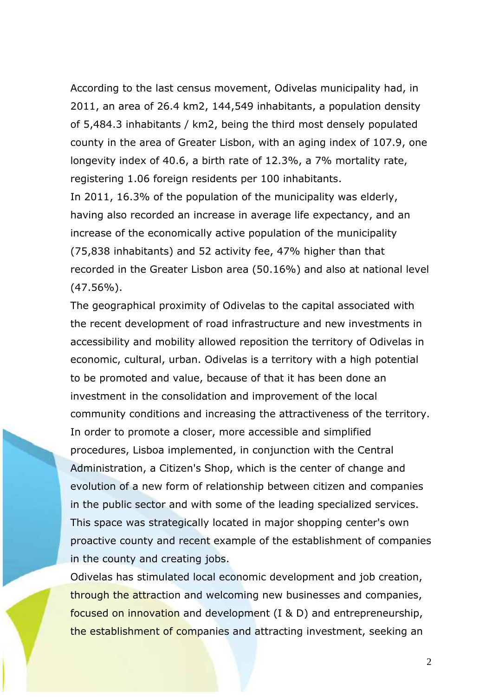According to the last census movement, Odivelas municipality had, in 2011, an area of 26.4 km2, 144,549 inhabitants, a population density of 5,484.3 inhabitants / km2, being the third most densely populated county in the area of Greater Lisbon, with an aging index of 107.9, one longevity index of 40.6, a birth rate of 12.3%, a 7% mortality rate, registering 1.06 foreign residents per 100 inhabitants.

In 2011, 16.3% of the population of the municipality was elderly, having also recorded an increase in average life expectancy, and an increase of the economically active population of the municipality (75,838 inhabitants) and 52 activity fee, 47% higher than that recorded in the Greater Lisbon area (50.16%) and also at national level  $(47.56\%)$ .

The geographical proximity of Odivelas to the capital associated with the recent development of road infrastructure and new investments in accessibility and mobility allowed reposition the territory of Odivelas in economic, cultural, urban. Odivelas is a territory with a high potential to be promoted and value, because of that it has been done an investment in the consolidation and improvement of the local community conditions and increasing the attractiveness of the territory. In order to promote a closer, more accessible and simplified procedures, Lisboa implemented, in conjunction with the Central Administration, a Citizen's Shop, which is the center of change and evolution of a new form of relationship between citizen and companies in the public sector and with some of the leading specialized services. This space was strategically located in major shopping center's own proactive county and recent example of the establishment of companies in the county and creating jobs.

Odivelas has stimulated local economic development and job creation, through the attraction and welcoming new businesses and companies, focused on innovation and development (I & D) and entrepreneurship, the establishment of companies and attracting investment, seeking an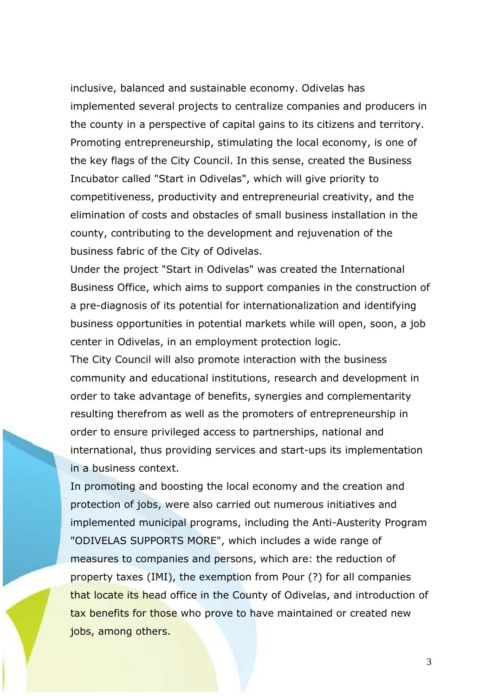inclusive, balanced and sustainable economy. Odivelas has implemented several projects to centralize companies and producers in the county in a perspective of capital gains to its citizens and territory. Promoting entrepreneurship, stimulating the local economy, is one of the key flags of the City Council. In this sense, created the Business Incubator called "Start in Odivelas", which will give priority to competitiveness, productivity and entrepreneurial creativity, and the elimination of costs and obstacles of small business installation in the county, contributing to the development and rejuvenation of the business fabric of the City of Odivelas.

Under the project "Start in Odivelas" was created the International Business Office, which aims to support companies in the construction of a pre-diagnosis of its potential for internationalization and identifying business opportunities in potential markets while will open, soon, a job center in Odivelas, in an employment protection logic.

The City Council will also promote interaction with the business community and educational institutions, research and development in order to take advantage of benefits, synergies and complementarity resulting therefrom as well as the promoters of entrepreneurship in order to ensure privileged access to partnerships, national and international, thus providing services and start-ups its implementation in a business context.

In promoting and boosting the local economy and the creation and protection of jobs, were also carried out numerous initiatives and implemented municipal programs, including the Anti-Austerity Program "ODIVELAS SUPPORTS MORE", which includes a wide range of measures to companies and persons, which are: the reduction of property taxes (IMI), the exemption from Pour (?) for all companies that locate its head office in the County of Odivelas, and introduction of tax benefits for those who prove to have maintained or created new jobs, among others.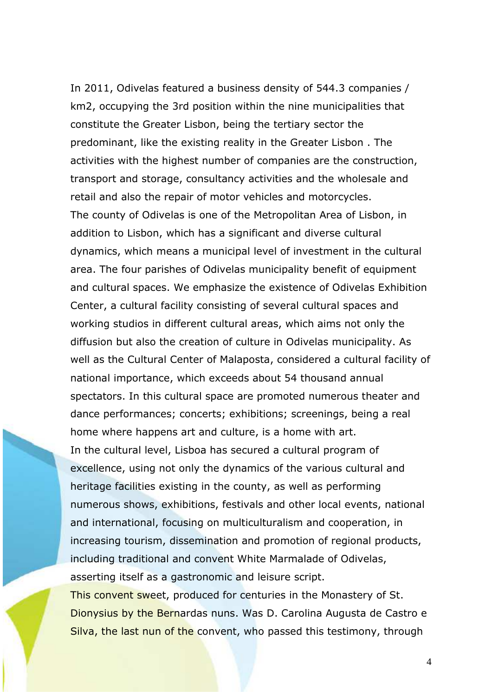In 2011, Odivelas featured a business density of 544.3 companies / km2, occupying the 3rd position within the nine municipalities that constitute the Greater Lisbon, being the tertiary sector the predominant, like the existing reality in the Greater Lisbon . The activities with the highest number of companies are the construction, transport and storage, consultancy activities and the wholesale and retail and also the repair of motor vehicles and motorcycles. The county of Odivelas is one of the Metropolitan Area of Lisbon, in addition to Lisbon, which has a significant and diverse cultural dynamics, which means a municipal level of investment in the cultural area. The four parishes of Odivelas municipality benefit of equipment and cultural spaces. We emphasize the existence of Odivelas Exhibition Center, a cultural facility consisting of several cultural spaces and working studios in different cultural areas, which aims not only the diffusion but also the creation of culture in Odivelas municipality. As well as the Cultural Center of Malaposta, considered a cultural facility of national importance, which exceeds about 54 thousand annual spectators. In this cultural space are promoted numerous theater and dance performances; concerts; exhibitions; screenings, being a real home where happens art and culture, is a home with art. In the cultural level, Lisboa has secured a cultural program of excellence, using not only the dynamics of the various cultural and heritage facilities existing in the county, as well as performing numerous shows, exhibitions, festivals and other local events, national and international, focusing on multiculturalism and cooperation, in increasing tourism, dissemination and promotion of regional products, including traditional and convent White Marmalade of Odivelas, asserting itself as a gastronomic and leisure script. This convent sweet, produced for centuries in the Monastery of St. Dionysius by the Bernardas nuns. Was D. Carolina Augusta de Castro e

Silva, the last nun of the convent, who passed this testimony, through